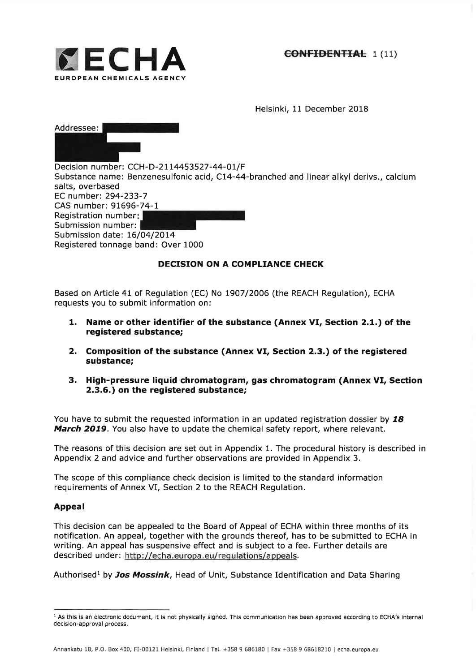

Helsinki, 11 December 2018

| Addressee: I |  |
|--------------|--|
|              |  |
|              |  |

Decision number: CCH-D-21 14453527 -44-OI/F Substance name: Benzenesulfonic acid, Cl4-44-branched and linear alkyl derivs., calcium salts, overbased EC number:294-233-7 CAS number: 91696-74-1 Registration number Submission number: Submission date: 16/04/2014 Registered tonnage band: Over 1000

# DECISION ON A COMPLIANCE CHECK

Based on Article 41 of Regulation (EC) No 1907/2006 (the REACH Regulation), ECHA requests you to submit information on:

- 1. Name or other identifier of the substance (Annex VI, Section 2.1.) of the registered substance;
- 2. Composition of the substance (Annex VI, Section 2.3.) of the registered substance;
- 3. High-pressure liquid chromatogram, gas chromatogram (Annex VI, Section 2.3.6.) on the registered substance;

You have to submit the requested information in an updated registration dossier by  $18$ March 2019. You also have to update the chemical safety report, where relevant.

The reasons of this decision are set out in Appendix 1. The procedural history is described in Appendix 2 and advice and further observations are provided in Appendix 3.

The scope of this compliance check decision is limited to the standard information requirements of Annex VI, Section 2 to the REACH Regulation,

## Appeal

This decision can be appealed to the Board of Appeal of ECHA within three months of its notification. An appeal, together with the grounds thereof, has to be submitted to ECHA in writing. An appeal has suspensive effect and is subject to a fee. Further details are described under: http://echa.europa.eu/regulations/appeals.

Authorised<sup>1</sup> by Jos Mossink, Head of Unit, Substance Identification and Data Sharing

<sup>&</sup>lt;sup>1</sup> As this is an electronic document, it is not physically signed. This communication has been approved according to ECHA's internal decision-approval process.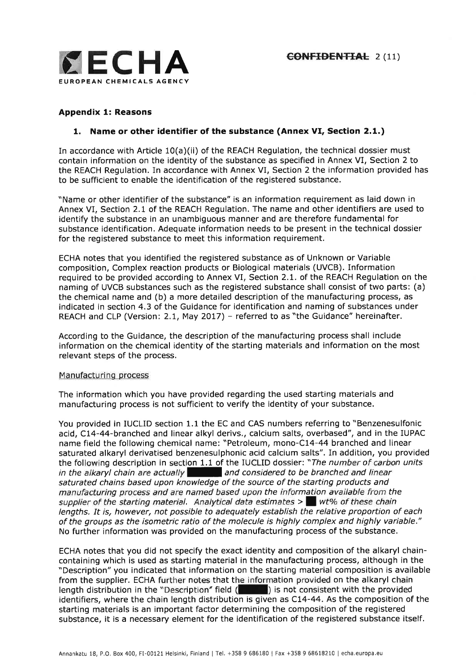

# Appendix l: Reasons

# 1. Name or other identifier of the substance (Annex VI, Section 2.1.)

In accordance with Article 10(a)(ii) of the REACH Regulation, the technical dossier must contain information on the identity of the substance as specified in Annex VI, Section 2 to the REACH Regulation. In accordance with Annex VI, Section 2 the information provided has to be sufficient to enable the identification of the registered substance.

"Name or other identifier of the substance" is an information requirement as laid down in Annex VI, Section 2.L of the REACH Regulation. The name and other identifiers are used to identify the substance in an unambiguous manner and are therefore fundamental for substance identification. Adequate information needs to be present in the technical dossier for the registered substance to meet this information requirement.

ECHA notes that you identified the registered substance as of Unknown or Variable composition, Complex reaction products or Biological materials (UVCB). Information required to be provided according to Annex VI, Section 2.1. of the REACH Regulation on the naming of UVCB substances such as the registered substance shall consist of two parts: (a) the chemical name and (b) a more detailed description of the manufacturing process, as indicated in section 4.3 of the Guidance for identification and naming of substances under REACH and CLP (Version: 2.1, May 2017) - referred to as "the Guidance" hereinafter.

According to the Guidance, the description of the manufacturing process shall include information on the chemical identity of the starting materials and information on the most relevant steps of the process.

#### Manufacturing process

The information which you have provided regarding the used starting materials and manufacturing process is not sufficient to verify the identity of your substance.

You provided in IUCLID section 1.1the EC and CAS numbers referring to "Benzenesulfonic acid, C14-44-branched and linear alkyl derivs., calcium salts, overbased", and in the IUPAC name field the following chemical name: "Petroleum, mono-Cl4-44 branched and linear saturated alkaryl derivatised benzenesulphonic acid calcium salts", In addition, you provided the following description in section 1.1 of the IUCLID dossier: "The number of carbon units in the alkaryl chain are actually and considered to be branched and linear saturated chains based upon knowledge of the source of the starting products and manufacturing process and are named based upon the information available from the supplier of the starting material. Analytical data estimates  $>$  wt% of these chain lengths. It is, however, not possible to adequately establish the relative proportion of each of the groups as the isometric ratio of the molecule is highly complex and highly variable." No further information was provided on the manufacturing process of the substance.

ECHA notes that you did not specify the exact identity and composition of the alkaryl chaincontaining which is used as starting material in the manufacturing process, although in the "Description" you indicated that information on the starting material composition is available from the supplier. ECHA further notes that the information provided on the alkaryl chain length distribution in the "Description" field  $($   $)$  is not consistent with the provided identifiers, where the chain length distribution is given as C14-44. As the composition of the starting materials is an important factor determining the composition of the registered substance, it is a necessary element for the identification of the registered substance itself.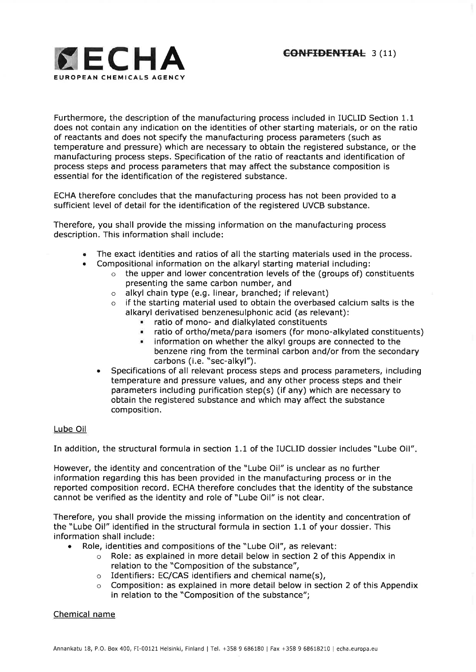

Furthermore, the description of the manufacturing process included in IUCLID Section 1.1 does not contain any indication on the identities of other starting materials, or on the ratio of reactants and does not specify the manufacturing process parameters (such as temperature and pressure) which are necessary to obtain the registered substance, or the manufacturing process steps. Specification of the ratio of reactants and identification of process steps and process parameters that may affect the substance composition is essential for the identification of the registered substance.

ECHA therefore concludes that the manufacturing process has not been provided to a sufficient level of detail for the identification of the registered UVCB substance.

Therefore, you shall provide the missing information on the manufacturing process description. This information shall include:

- The exact identities and ratios of all the starting materials used in the process. a
	- Compositional information on the alkaryl starting material including:
		- $\circ$  the upper and lower concentration levels of the (groups of) constituents presenting the same carbon number, and
		- o alkyl chain type (e.9. linear, branched; if relevant)
		- $\circ$  if the starting material used to obtain the overbased calcium salts is the alkaryl derivatised benzenesulphonic acid (as relevant):
			- **1** ratio of mono- and dialkylated constituents<br>**1** ratio of ortho/meta/para isomers (for mono
			- **E.** ratio of ortho/meta/para isomers (for mono-alkylated constituents) <br>**E.** information on whether the alkyl groups are connected to the
			- . information on whether the alkyl groups are connected to the benzene ring from the terminal carbon and/or from the secondary carbons (i.e. "sec-alkyl").
		- Specifications of all relevant process steps and process parameters, including temperature and pressure values, and any other process steps and their parameters including purification step(s) (if any) which are necessary to obtain the registered substance and which may affect the substance composition.

## Lube Oil

a

In addition, the structural formula in section 1.1 of the IUCLID dossier includes "Lube Oil".

However, the identity and concentration of the "Lube Oil" is unclear as no further information regarding this has been provided in the manufacturing process or in the reported composition record. ECHA therefore concludes that the identity of the substance cannot be verified as the identity and role of "Lube Oil" is not clear,

Therefore, you shall provide the missing information on the identity and concentration of the "Lube Oil" identified in the structural formula in section 1.1 of your dossier. This information shall include:

- . Role, identities and compositions of the "Lube Oil", as relevant:
	- o Role: as explained in more detail below in section 2 of this Appendix in relation to the "Composition of the substance",
	- $\circ$  Identifiers: EC/CAS identifiers and chemical name(s),
	- $\circ$  Composition: as explained in more detail below in section 2 of this Appendix in relation to the "Composition of the substance";

#### Chemical name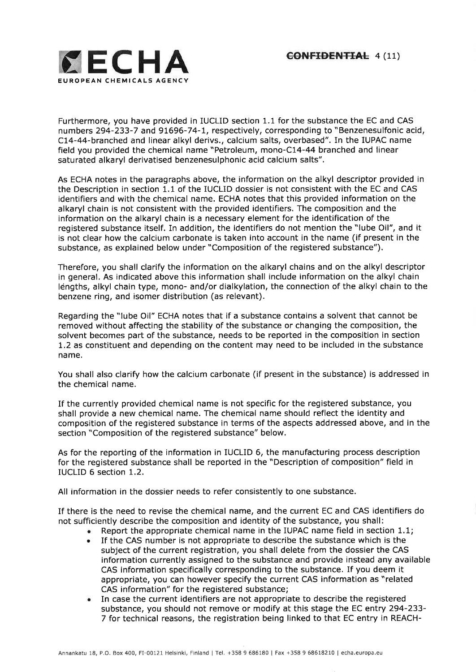

Furthermore, you have provided in IUCLID section 1.1 for the substance the EC and CAS numbers 294-233-7 and 91696-74-I, respectively, corresponding to "Benzenesulfonic acid, CL4-44-branched and linear alkyl derivs., calcium salts, overbased". In the IUPAC name field you provided the chemical name "Petroleum, mono-C14-44 branched and linear saturated alkaryl derivatised benzenesulphonic acid calcium salts".

As ECHA notes in the paragraphs above, the information on the alkyl descriptor provided in the Description in section 1.1 of the IUCLID dossier is not consistent with the EC and CAS identifiers and with the chemical name. ECHA notes that this provided information on the alkaryl chain is not consistent with the provided identifiers. The composition and the information on the alkaryl chain is a necessary element for the identification of the registered substance itself. In addition, the identifiers do not mention the "lube Oil", and it is not clear how the calcium carbonate is taken into account in the name (if present in the substance, as explained below under "Composition of the registered substance").

Therefore, you shall clarify the information on the alkaryl chains and on the alkyl descriptor in general. As indicated above this information shall include information on the alkyl chain léngths, alkyl chain type, mono- and/or dialkylation, the connection of the alkyl chain to the benzene ring, and isomer distribution (as relevant).

Regarding the "lube Oil" ECHA notes that if a substance contains a solvent that cannot be removed without affecting the stability of the substance or changing the composition, the solvent becomes part of the substance, needs to be reported in the composition in section 1.2 as constituent and depending on the content may need to be included in the substance name.

You shall also clarify how the calcium carbonate (if present in the substance) is addressed in the chemical name.

If the currently provided chemical name is not specific for the registered substance, you shall provide a new chemical name. The chemical name should reflect the identity and composition of the registered substance in terms of the aspects addressed above, and in the section "Composition of the registered substance" below.

As for the reporting of the information in IUCLID 6, the manufacturing process description for the registered substance shall be reported in the "Description of composition" field in IUCLID 6 section 1.2.

All information in the dossier needs to refer consistently to one substance.

If there is the need to revise the chemical name, and the current EC and CAS identifiers do not sufficiently describe the composition and identity of the substance, you shall:

- . Report the appropriate chemical name in the IUPAC name field in section 1,1;
- . If the CAS number is not appropriate to describe the substance which is the subject of the current registration, you shall delete from the dossier the CAS information currently assigned to the substance and provide instead any available CAS information specifically corresponding to the substance. If you deem it appropriate, you can however specify the current CAS information as "related CAS information" for the registered substance;
- . In case the current identifiers are not appropriate to describe the registered substance, you should not remove or modify at this stage the EC entry 294-233- 7 for technical reasons, the registration being linked to that EC entry in REACH-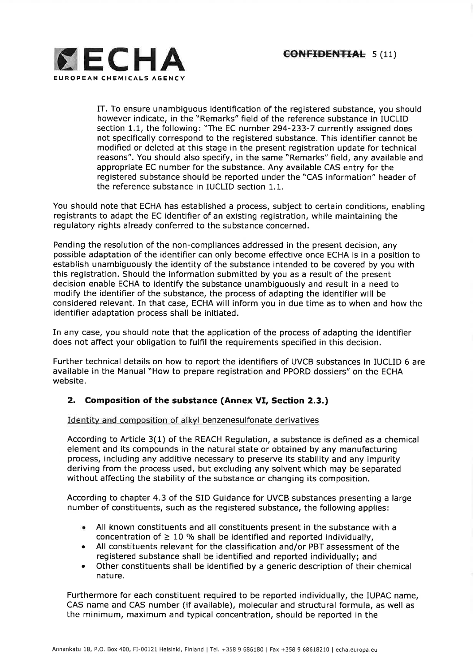

IT. To ensure unambiguous identification of the registered substance, you should however indicate, in the "Remarks" field of the reference substance in IUCLID section 1.1, the following: "The EC number 294-233-7 currently assigned does not specifically correspond to the registered substance. This identifier cannot be modified or deleted at this stage in the present registration update for technical reasons". You should also specify, in the same "Remarks" field, any available and appropriate EC number for the substance. Any available CAS entry for the registered substance should be reported under the "CAS information" header of the reference substance in IUCLID section 1,1.

You should note that ECHA has established a process, subject to certain conditions, enabling registrants to adapt the EC identifier of an existing registration, while maintaining the regulatory rights already conferred to the substance concerned.

Pending the resolution of the non-compliances addressed in the present decision, any possible adaptation of the identifier can only become effective once ECHA is in a position to establish unambiguously the identity of the substance intended to be covered by you with this registration. Should the information submitted by you as a result of the present decision enable ECHA to identify the substance unambiguously and result in a need to modify the identifier of the substance, the process of adapting the identifier will be considered relevant. In that case, ECHA will inform you in due time as to when and how the identifier adaptation process shall be initiated.

In any case, you should note that the application of the process of adapting the identifier does not affect your obligation to fulfil the requirements specified in this decision.

Further technical details on how to report the identifiers of UVCB substances in IUCLID 6 are available in the Manual "How to prepare registration and PPORD dossiers" on the ECHA website.

# 2. Composition of the substance (Annex VI, Section 2.3.)

Identity and composition of alkyl benzenesulfonate derivatives

According to Article 3(1) of the REACH Regulation, a substance is defined as a chemical element and its compounds in the natural state or obtained by any manufacturing process, including any additive necessary to preserve its stability and any impurity deriving from the process used, but excluding any solvent which may be separated without affecting the stability of the substance or changing its composition,

According to chapter 4.3 of the SID Guidance for UVCB substances presenting a large number of constituents, such as the registered substance, the following applies:

- All known constituents and all constituents present in the substance with a concentration of  $\geq 10$  % shall be identified and reported individually, a
- All constituents relevant for the classification and/or PBT assessment of the a registered substance shall be identified and reported individually; and
- Other constituents shall be identified by a generic description of their chemical natu re. a

Furthermore for each constituent required to be reported individually, the IUPAC name, CAS name and CAS number (if available), molecular and structural formula, as well as the minimum, maximum and typical concentration, should be reported in the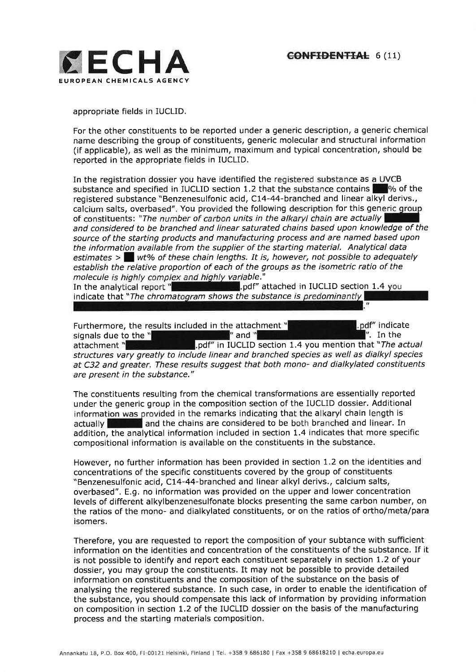

appropriate fields in IUCLID.

For the other constituents to be reported under a generic description, a generic chemical name describing the group of constituents, generic molecular and structural information (if applicable), as well as the minimum, maximum and typical concentration, should be reported in the appropriate fields in IUCLID.

In the registration dossier you have identified the registered substance as a UVCB substance and specified in IUCLID section 1.2 that the substance contains  $\Box$  % of the registered substance "Benzenesulfonic acid, C14-44-branched and linear alkyl derivs., calcium salts, overbased". You provided the following description for this generic group of constituents: "The number of carbon units in the alkaryl chain are actually and considered to be branched and linear saturated chains based upon knowledge of the source of the starting products and manufacturing process and are named based upon the information available from the supplier of the starting material. Analytical data estimates  $>$  wt% of these chain lengths. It is, however, not possible to adequately establish the relative proportion of each of the groups as the isometric ratio of the molecule is highly complex and highly variable."

.pdf" attached in IUCLID section 1.4 you indicate that "The chromatogram shows the substance is predominantly

Furthermore, the results included in the attachment  $"$  indicate indicate indicate signals due to the  $"$  indicate individual in the signal indicate  $"$  and  $"$  in the signals due to the  $"$  in the signal indicate  $"$  in signals due to the  $"$ <br>attachment  $"$ pdf" in IUCLID section 1.4 you mention that "The actual" structures vary greatly to include linear and branched species as well as dialkyl species at C32 and greater. These results suggest that both mono- and dialkylated constituents are present in the substance."

The constituents resulting from the chemical transformations are essentially reported under the generic group in the composition section of the IUCLID dossier. Additional information was provided in the remarks indicating that the alkaryl chain length is actually **I and the chains are considered to be both branched and linear.** In addition, the analytical information included in section 1.4 indicates that more specific compositional information is available on the constituents in the substance.

However, no further information has been provided in section 1.2 on the identities and concentrations of the specific constituents covered by the group of constituents "Benzenesulfonic acid, Cl4-44-branched and linear alkyl derivs., calcium salts, overbased". E.g. no information was provided on the upper and lower concentration levels of different alkylbenzenesulfonate blocks presenting the same carbon number, on the ratios of the mono- and dialkylated constituents, or on the ratios of ortho/meta/para isomers,

Therefore, you are requested to report the composition of your subtance with sufficient information on the identities and concentration of the constituents of the substance, If it is not possible to identify and report each constituent separately in section 1.2 of your dossier, you may group the constituents, It may not be possible to provide detailed information on constituents and the composition of the substance on the basis of analysing the registered substance. In such case, in order to enable the identification of the substance, you should compensate this lack of information by providing information on composition in section L.2 of the IUCLID dossier on the basis of the manufacturing process and the starting materials composition.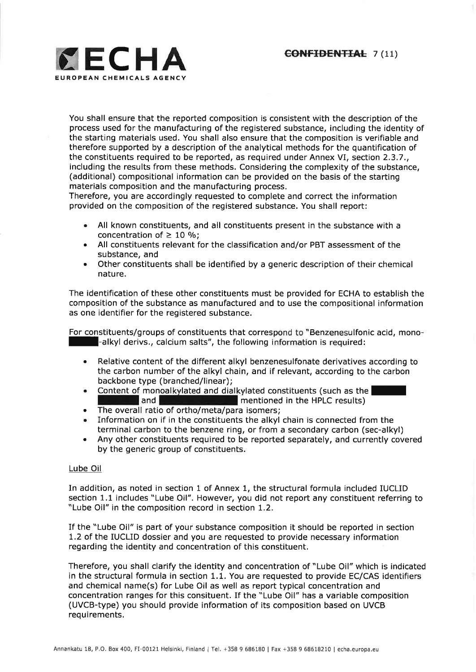

You shall ensure that the reported composition is consistent with the description of the process used for the manufacturing of the registered substance, including the identity of the starting materials used. You shall also ensure that the composition is verifiable and therefore supported by a description of the analytical methods for the quantification of the constituents required to be reported, as required under Annex VI, section 2.3.7., including the results from these methods. Considering the complexity of the substance, (additional) compositional information can be provided on the basis of the starting materials composition and the manufacturing process.

Therefore, you are accordingly requested to complete and correct the information provided on the composition of the registered substance. You shall report:

- All known constituents, and all constituents present in the substance with a concentration of  $\geq 10$  %;
- All constituents relevant for the classification and/or PBT assessment of the a substance, and
- Other constituents shall be identified by a generic description of their chemical nature. a

The identification of these other constituents must be provided for ECHA to establish the composition of the substance as manufactured and to use the compositional information as one identifier for the registered substance.

For constituents/groups of constituents that correspond to "Benzenesulfonic acid, mono--alkyl derivs., calcium salts", the following information is required:

- Relative content of the different alkyl benzenesulfonate derivatives according to the carbon number of the alkyl chain, and if relevant, according to the carbon backbone type (branched/linear);
- Content of monoalkylated and dial kylated constituents (such as the  $\vert$  mentioned in the HPLC results)  $\blacksquare$  mentioned in the HPLC results)
- The overall ratio of ortho/meta/para isomers;
- . Information on if in the constituents the alkyl chain is connected from the terminal carbon to the benzene ring, or from a secondary carbon (sec-alkyl)
- . Any other constituents required to be reported separately, and currently covered by the generic group of constituents.

## Lube Oil

In addition, as noted in section 1 of Annex 1, the structural formula included IUCLID section 1.1 includes "Lube Oil". However, you did not report any constituent referring to "Lube Oil" in the composition record in section 1.2.

If the "Lube Oil" is part of your substance composition it should be reported in section L.2 of the IUCLID dossier and you are requested to provide necessary information regarding the identity and concentration of this constituent.

Therefore, you shall clarify the identity and concentration of "Lube Oil" which is indicated in the structural formula in section 1.1, You are requested to provide EC/CAS identifiers and chemical name(s) for Lube Oil as well as report typical concentration and concentration ranges for this consituent. If the "Lube Oil" has a variable composition (UVCB-type) you should provide information of its composition based on UVCB requirements,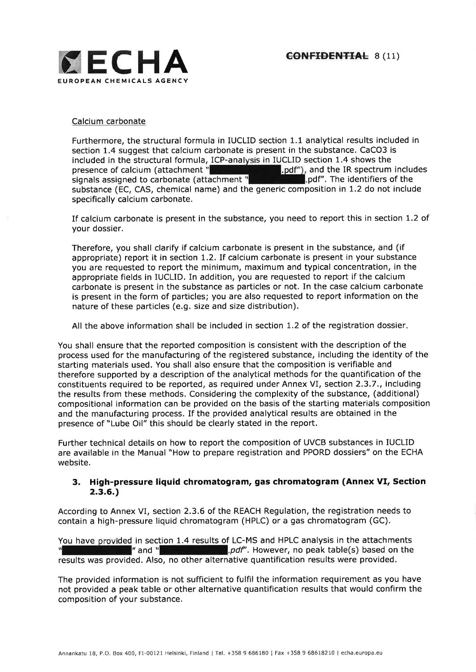

#### Calcium carbonate

Furthermore, the structural formula in IUCLID section 1.1 analytical results included in section 1.4 suggest that calcium carbonate is present in the substance. CaCO3 is included in the structural formula, ICP-analysis in IUCLID section 1.4 shows the .pdf"), and the IR spectrum includes Duter. The identifiers of the presence of calcium (attachment  $\frac{m}{2}$ signals assigned to carbonate (attachment<sup>"</sup> substance (EC, CAS, chemical name) and the generic composition in 1.2 do not include specifically calcium carbonate.

If calcium carbonate is present in the substance, you need to report this in section L.2 of your dossier.

Therefore, you shall clarify if calcium carbonate is present in the substance, and (if appropriate) report it in section 1.2. If calcium carbonate is present in your substance you are requested to report the minimum, maximum and typical concentration, in the appropriate fields in IUCLID. In addition, you are requested to report if the calcium carbonate is present in the substance as particles or not. In the case calcium carbonate is present in the form of particles; you are also requested to report information on the nature of these particles (e.9. size and size distribution).

All the above information shall be included in section 1.2 of the registration dossier.

You shall ensure that the reported composition is consistent with the description of the process used for the manufacturing of the registered substance, including the identity of the starting materials used. You shall also ensure that the composition is verifiable and therefore supported by a description of the analytical methods for the quantification of the constituents required to be reported, as required under Annex VI, section 2.3.7., including the results from these methods. Considering the complexity of the substance, (additional) compositional information can be provided on the basis of the starting materials composition and the manufacturing process, If the provided analytical results are obtained in the presence of "Lube Oil" this should be clearly stated in the report.

Further technical details on how to report the composition of UVCB substances in IUCLID are available in the Manual "How to prepare registration and PPORD dossiers" on the ECHA website.

# 3. High-pressure liquid chromatogram, gas chromatogram (Annex VI, Section 2.3.6.)

According to Annex VI, section 2.3.6 of the REACH Regulation, the registration needs to contain a high-pressure liquid chromatogram (HPLC) or a gas chromatogram (GC).

You have provided in section 1.4 results of LC-MS and HPLC analysis in the attachments  $\mathbb{N}$  and  $\mathbb{N}$  and  $\mathbb{N}$  and  $\mathbb{N}$  and  $\mathbb{N}$  and  $\mathbb{N}$  and  $\mathbb{N}$  and  $\mathbb{N}$  and  $\mathbb{N}$  and  $\mathbb{N}$  and  $\mathbb$ **and positive property** and peak table(s) based on the results was provided, Also, no other alternative quantification results were provided.

The provided information is not sufficient to fulfil the information requirement as you have not provided a peak table or other alternative quantification results that would confirm the composition of your substance.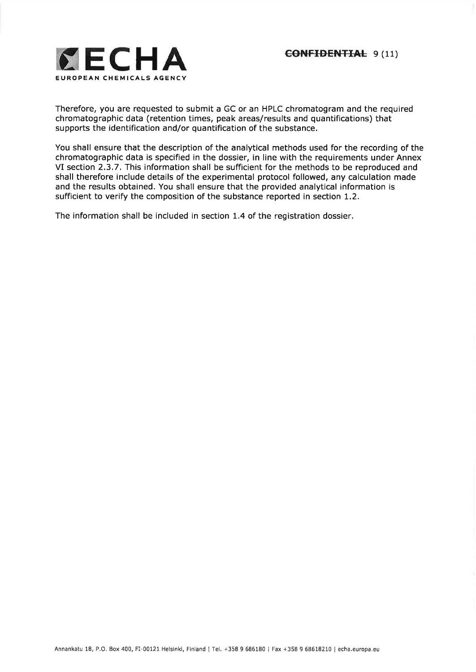

Therefore, you are requested to submit a GC or an HPLC chromatogram and the required chromatographic data (retention times, peak areas/results and quantifications) that supports the identification and/or quantification of the substance.

You shall ensure that the description of the analytical methods used for the recording of the chromatographic data is specified in the dossier, in line with the requirements under Annex VI section 2.3.7. This information shall be sufficient for the methods to be reproduced and shall therefore include details of the experimental protocol followed, any calculation made and the results obtained. You shall ensure that the provided analytical information is sufficient to verify the composition of the substance reported in section 1.2,

The information shall be included in section L4 of the registration dossier.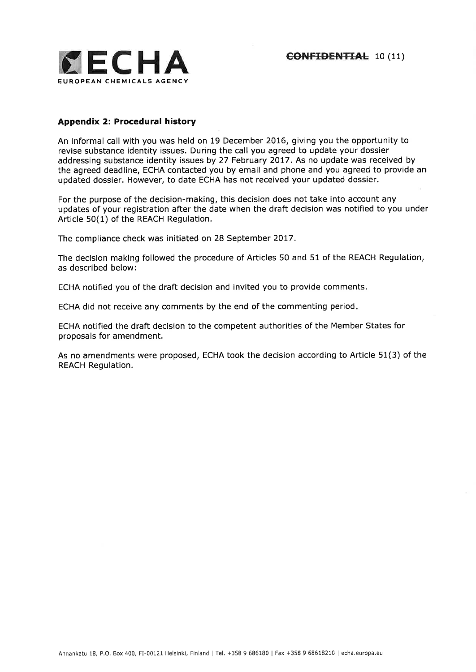

## Appendix 2: Procedural history

An informal call with you was held on 19 December 2O16, giving you the opportunity to revise substance identity issues. During the call you agreed to update your dossier addressing substance identity issues by 27 February 2017. As no update was received by the agreed deadline, ECHA contacted you by email and phone and you agreed to provide an updated dossier. However, to date ECHA has not received your updated dossier.

For the purpose of the decision-making, this decision does not take into account any updates of your registration after the date when the draft decision was notified to you under Article 50(1) of the REACH Regulation.

The compliance check was initiated on 28 September 2017.

The decision making followed the procedure of Articles 50 and 51 of the REACH Regulation, as described below:

ECHA notified you of the draft decision and invited you to provide comments.

ECHA did not receive any comments by the end of the commenting period

ECHA notified the draft decision to the competent authorities of the Member States for proposals for amendment.

As no amendments were proposed, ECHA took the decision according to Article 51(3) of the REACH Regulation.